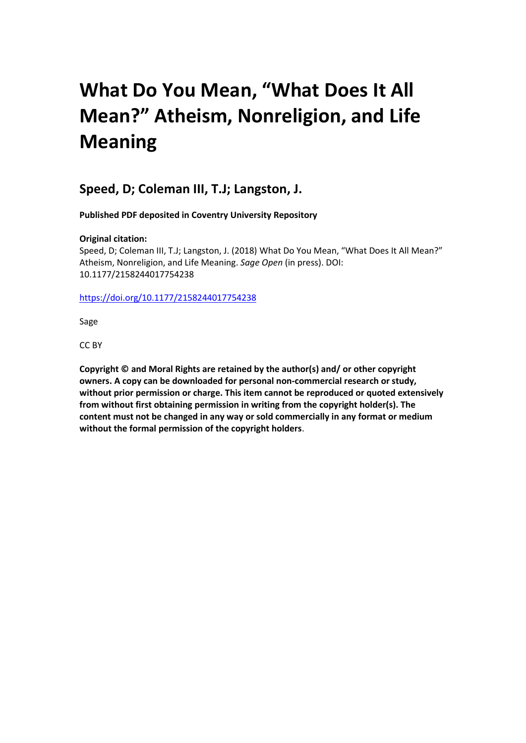# **What Do You Mean, "What Does It All Mean?" Atheism, Nonreligion, and Life Meaning**

## **Speed, D; Coleman III, T.J; Langston, J.**

**Published PDF deposited in Coventry University Repository**

## **Original citation:**

Speed, D; Coleman III, T.J; Langston, J. (2018) What Do You Mean, "What Does It All Mean?" Atheism, Nonreligion, and Life Meaning. *Sage Open* (in press). DOI: 10.1177/2158244017754238

## <https://doi.org/10.1177/2158244017754238>

Sage

CC BY

**Copyright © and Moral Rights are retained by the author(s) and/ or other copyright owners. A copy can be downloaded for personal non-commercial research or study, without prior permission or charge. This item cannot be reproduced or quoted extensively from without first obtaining permission in writing from the copyright holder(s). The content must not be changed in any way or sold commercially in any format or medium without the formal permission of the copyright holders**.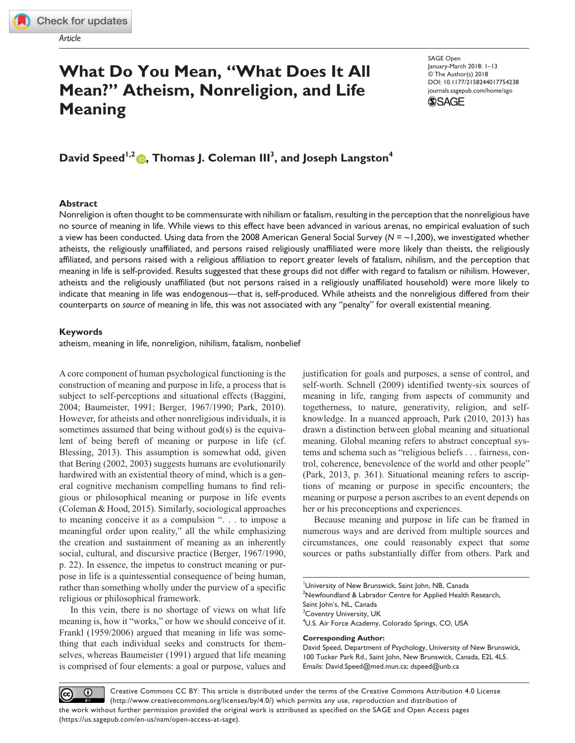*Article*

**[754238](http://crossmark.crossref.org/dialog/?doi=10.1177%2F2158244017754238&domain=pdf&date_stamp=2018-01-20)**SGOXXX10.1177/2158244017754238SAGE Open**Speed et al.**

*research-article*20182018

# **What Do You Mean, "What Does It All Mean?" Atheism, Nonreligion, and Life Meaning**

DOI: 10.1177/2158244017754238 SAGE Open January-March 2018: 1–13 © The Author(s) 2018 [journals.sagepub.com/home/sgo](https://journals.sagepub.com/home/sgo)



## **David Speed1,2 , Thomas J. Coleman III3 , and Joseph Langston4**

## **Abstract**

Nonreligion is often thought to be commensurate with nihilism or fatalism, resulting in the perception that the nonreligious have no source of meaning in life. While views to this effect have been advanced in various arenas, no empirical evaluation of such a view has been conducted. Using data from the 2008 American General Social Survey (*N* = ~1,200), we investigated whether atheists, the religiously unaffiliated, and persons raised religiously unaffiliated were more likely than theists, the religiously affiliated, and persons raised with a religious affiliation to report greater levels of fatalism, nihilism, and the perception that meaning in life is self-provided. Results suggested that these groups did not differ with regard to fatalism or nihilism. However, atheists and the religiously unaffiliated (but not persons raised in a religiously unaffiliated household) were more likely to indicate that meaning in life was endogenous—that is, self-produced. While atheists and the nonreligious differed from their counterparts on *source* of meaning in life, this was not associated with any "penalty" for overall existential meaning.

### **Keywords**

atheism, meaning in life, nonreligion, nihilism, fatalism, nonbelief

A core component of human psychological functioning is the construction of meaning and purpose in life, a process that is subject to self-perceptions and situational effects (Baggini, 2004; Baumeister, 1991; Berger, 1967/1990; Park, 2010). However, for atheists and other nonreligious individuals, it is sometimes assumed that being without god(s) is the equivalent of being bereft of meaning or purpose in life (cf. Blessing, 2013). This assumption is somewhat odd, given that Bering (2002, 2003) suggests humans are evolutionarily hardwired with an existential theory of mind, which is a general cognitive mechanism compelling humans to find religious or philosophical meaning or purpose in life events (Coleman & Hood, 2015). Similarly, sociological approaches to meaning conceive it as a compulsion ". . . to impose a meaningful order upon reality," all the while emphasizing the creation and sustainment of meaning as an inherently social, cultural, and discursive practice (Berger, 1967/1990, p. 22). In essence, the impetus to construct meaning or purpose in life is a quintessential consequence of being human, rather than something wholly under the purview of a specific religious or philosophical framework.

In this vein, there is no shortage of views on what life meaning is, how it "works," or how we should conceive of it. Frankl (1959/2006) argued that meaning in life was something that each individual seeks and constructs for themselves, whereas Baumeister (1991) argued that life meaning is comprised of four elements: a goal or purpose, values and

justification for goals and purposes, a sense of control, and self-worth. Schnell (2009) identified twenty-six sources of meaning in life, ranging from aspects of community and togetherness, to nature, generativity, religion, and selfknowledge. In a nuanced approach, Park (2010, 2013) has drawn a distinction between global meaning and situational meaning. Global meaning refers to abstract conceptual systems and schema such as "religious beliefs . . . fairness, control, coherence, benevolence of the world and other people" (Park, 2013, p. 361). Situational meaning refers to ascriptions of meaning or purpose in specific encounters; the meaning or purpose a person ascribes to an event depends on her or his preconceptions and experiences.

Because meaning and purpose in life can be framed in numerous ways and are derived from multiple sources and circumstances, one could reasonably expect that some sources or paths substantially differ from others. Park and

#### **Corresponding Author:**

David Speed, Department of Psychology, University of New Brunswick, 100 Tucker Park Rd., Saint John, New Brunswick, Canada, E2L 4L5. Emails: [David.Speed@med.mun.ca](mailto:David.Speed@med.mun.ca); [dspeed@unb.ca](mailto:dspeed@unb.ca)

Creative Commons CC BY: This article is distributed under the terms of the Creative Commons Attribution 4.0 License  $\odot$ (cc) (http://www.creativecommons.org/licenses/by/4.0/) which permits any use, reproduction and distribution of the work without further permission provided the original work is attributed as specified on the SAGE and Open Access pages (https://us.sagepub.com/en-us/nam/open-access-at-sage).

<sup>&</sup>lt;sup>1</sup>University of New Brunswick, Saint John, NB, Canada  $2$ Newfoundland & Labrador Centre for Applied Health Research, Saint John's, NL, Canada <sup>3</sup> Coventry University, UK <sup>4</sup>U.S. Air Force Academy, Colorado Springs, CO, USA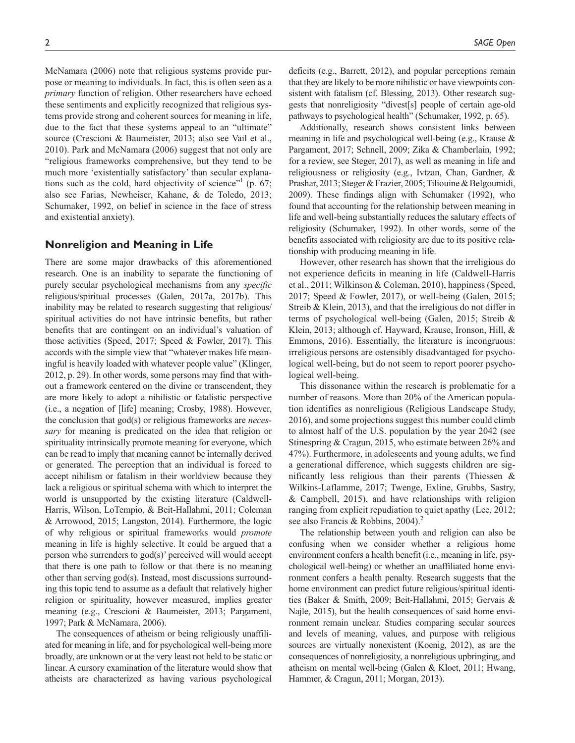McNamara (2006) note that religious systems provide purpose or meaning to individuals. In fact, this is often seen as a *primary* function of religion. Other researchers have echoed these sentiments and explicitly recognized that religious systems provide strong and coherent sources for meaning in life, due to the fact that these systems appeal to an "ultimate" source (Crescioni & Baumeister, 2013; also see Vail et al., 2010). Park and McNamara (2006) suggest that not only are "religious frameworks comprehensive, but they tend to be much more 'existentially satisfactory' than secular explanations such as the cold, hard objectivity of science"<sup>1</sup> (p. 67; also see Farias, Newheiser, Kahane, & de Toledo, 2013; Schumaker, 1992, on belief in science in the face of stress and existential anxiety).

## **Nonreligion and Meaning in Life**

There are some major drawbacks of this aforementioned research. One is an inability to separate the functioning of purely secular psychological mechanisms from any *specific* religious/spiritual processes (Galen, 2017a, 2017b). This inability may be related to research suggesting that religious/ spiritual activities do not have intrinsic benefits, but rather benefits that are contingent on an individual's valuation of those activities (Speed, 2017; Speed & Fowler, 2017). This accords with the simple view that "whatever makes life meaningful is heavily loaded with whatever people value" (Klinger, 2012, p. 29). In other words, some persons may find that without a framework centered on the divine or transcendent, they are more likely to adopt a nihilistic or fatalistic perspective (i.e., a negation of [life] meaning; Crosby, 1988). However, the conclusion that god(s) or religious frameworks are *necessary* for meaning is predicated on the idea that religion or spirituality intrinsically promote meaning for everyone, which can be read to imply that meaning cannot be internally derived or generated. The perception that an individual is forced to accept nihilism or fatalism in their worldview because they lack a religious or spiritual schema with which to interpret the world is unsupported by the existing literature (Caldwell-Harris, Wilson, LoTempio, & Beit-Hallahmi, 2011; Coleman & Arrowood, 2015; Langston, 2014). Furthermore, the logic of why religious or spiritual frameworks would *promote* meaning in life is highly selective. It could be argued that a person who surrenders to god(s)' perceived will would accept that there is one path to follow or that there is no meaning other than serving god(s). Instead, most discussions surrounding this topic tend to assume as a default that relatively higher religion or spirituality, however measured, implies greater meaning (e.g., Crescioni & Baumeister, 2013; Pargament, 1997; Park & McNamara, 2006).

The consequences of atheism or being religiously unaffiliated for meaning in life, and for psychological well-being more broadly, are unknown or at the very least not held to be static or linear. A cursory examination of the literature would show that atheists are characterized as having various psychological

deficits (e.g., Barrett, 2012), and popular perceptions remain that they are likely to be more nihilistic or have viewpoints consistent with fatalism (cf. Blessing, 2013). Other research suggests that nonreligiosity "divest[s] people of certain age-old pathways to psychological health" (Schumaker, 1992, p. 65).

Additionally, research shows consistent links between meaning in life and psychological well-being (e.g., Krause & Pargament, 2017; Schnell, 2009; Zika & Chamberlain, 1992; for a review, see Steger, 2017), as well as meaning in life and religiousness or religiosity (e.g., Ivtzan, Chan, Gardner, & Prashar, 2013; Steger & Frazier, 2005; Tiliouine & Belgoumidi, 2009). These findings align with Schumaker (1992), who found that accounting for the relationship between meaning in life and well-being substantially reduces the salutary effects of religiosity (Schumaker, 1992). In other words, some of the benefits associated with religiosity are due to its positive relationship with producing meaning in life.

However, other research has shown that the irreligious do not experience deficits in meaning in life (Caldwell-Harris et al., 2011; Wilkinson & Coleman, 2010), happiness (Speed, 2017; Speed & Fowler, 2017), or well-being (Galen, 2015; Streib & Klein, 2013), and that the irreligious do not differ in terms of psychological well-being (Galen, 2015; Streib & Klein, 2013; although cf. Hayward, Krause, Ironson, Hill, & Emmons, 2016). Essentially, the literature is incongruous: irreligious persons are ostensibly disadvantaged for psychological well-being, but do not seem to report poorer psychological well-being.

This dissonance within the research is problematic for a number of reasons. More than 20% of the American population identifies as nonreligious (Religious Landscape Study, 2016), and some projections suggest this number could climb to almost half of the U.S. population by the year 2042 (see Stinespring & Cragun, 2015, who estimate between 26% and 47%). Furthermore, in adolescents and young adults, we find a generational difference, which suggests children are significantly less religious than their parents (Thiessen & Wilkins-Laflamme, 2017; Twenge, Exline, Grubbs, Sastry, & Campbell, 2015), and have relationships with religion ranging from explicit repudiation to quiet apathy (Lee, 2012; see also Francis & Robbins, 2004).<sup>2</sup>

The relationship between youth and religion can also be confusing when we consider whether a religious home environment confers a health benefit (i.e., meaning in life, psychological well-being) or whether an unaffiliated home environment confers a health penalty. Research suggests that the home environment can predict future religious/spiritual identities (Baker & Smith, 2009; Beit-Hallahmi, 2015; Gervais & Najle, 2015), but the health consequences of said home environment remain unclear. Studies comparing secular sources and levels of meaning, values, and purpose with religious sources are virtually nonexistent (Koenig, 2012), as are the consequences of nonreligiosity, a nonreligious upbringing, and atheism on mental well-being (Galen & Kloet, 2011; Hwang, Hammer, & Cragun, 2011; Morgan, 2013).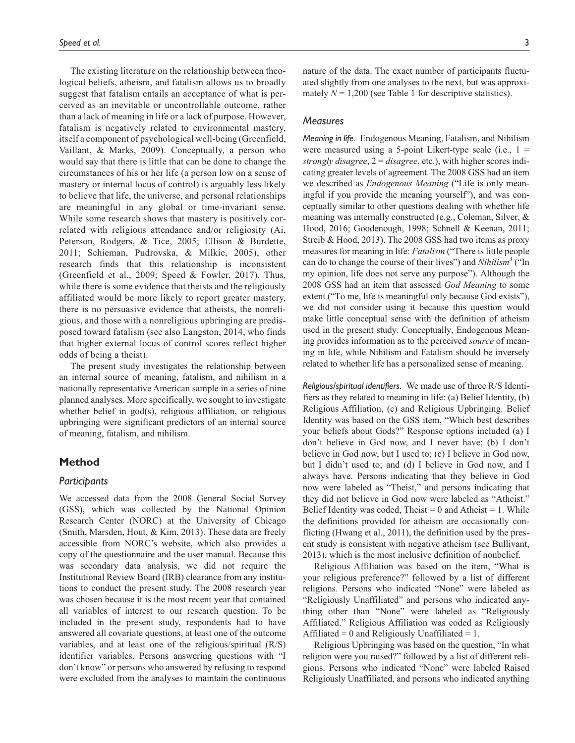The existing literature on the relationship between theological beliefs, atheism, and fatalism allows us to broadly suggest that fatalism entails an acceptance of what is perceived as an inevitable or uncontrollable outcome, rather than a lack of meaning in life or a lack of purpose. However, fatalism is negatively related to environmental mastery, itself a component of psychological well-being (Greenfield, Vaillant, & Marks, 2009). Conceptually, a person who would say that there is little that can be done to change the circumstances of his or her life (a person low on a sense of mastery or internal locus of control) is arguably less likely to believe that life, the universe, and personal relationships are meaningful in any global or time-invariant sense. While some research shows that mastery is positively correlated with religious attendance and/or religiosity (Ai, Peterson, Rodgers, & Tice, 2005; Ellison & Burdette, 2011; Schieman, Pudrovska, & Milkie, 2005), other research finds that this relationship is inconsistent (Greenfield et al., 2009; Speed & Fowler, 2017). Thus, while there is some evidence that theists and the religiously affiliated would be more likely to report greater mastery, there is no persuasive evidence that atheists, the nonreligious, and those with a nonreligious upbringing are predisposed toward fatalism (see also Langston, 2014, who finds that higher external locus of control scores reflect higher odds of being a theist).

The present study investigates the relationship between an internal source of meaning, fatalism, and nihilism in a nationally representative American sample in a series of nine planned analyses. More specifically, we sought to investigate whether belief in god(s), religious affiliation, or religious upbringing were significant predictors of an internal source of meaning, fatalism, and nihilism.

## **Method**

## *Participants*

We accessed data from the 2008 General Social Survey (GSS), which was collected by the National Opinion Research Center (NORC) at the University of Chicago (Smith, Marsden, Hout, & Kim, 2013). These data are freely accessible from NORC's website, which also provides a copy of the questionnaire and the user manual. Because this was secondary data analysis, we did not require the Institutional Review Board (IRB) clearance from any institutions to conduct the present study. The 2008 research year was chosen because it is the most recent year that contained all variables of interest to our research question. To be included in the present study, respondents had to have answered all covariate questions, at least one of the outcome variables, and at least one of the religious/spiritual (R/S) identifier variables. Persons answering questions with "I don't know" or persons who answered by refusing to respond were excluded from the analyses to maintain the continuous

nature of the data. The exact number of participants fluctuated slightly from one analyses to the next, but was approximately  $N = 1,200$  (see Table 1 for descriptive statistics).

## *Measures*

*Meaning in life.* Endogenous Meaning, Fatalism, and Nihilism were measured using a 5-point Likert-type scale (i.e.,  $1 =$ *strongly disagree*, 2 = *disagree*, etc.), with higher scores indicating greater levels of agreement. The 2008 GSS had an item we described as *Endogenous Meaning* ("Life is only meaningful if you provide the meaning yourself"), and was conceptually similar to other questions dealing with whether life meaning was internally constructed (e.g., Coleman, Silver, & Hood, 2016; Goodenough, 1998; Schnell & Keenan, 2011; Streib & Hood, 2013). The 2008 GSS had two items as proxy measures for meaning in life: *Fatalism* ("There is little people can do to change the course of their lives") and *Nihilism3* ("In my opinion, life does not serve any purpose"). Although the 2008 GSS had an item that assessed *God Meaning* to some extent ("To me, life is meaningful only because God exists"), we did not consider using it because this question would make little conceptual sense with the definition of atheism used in the present study. Conceptually, Endogenous Meaning provides information as to the perceived *source* of meaning in life, while Nihilism and Fatalism should be inversely related to whether life has a personalized sense of meaning.

*Religious/spiritual identifiers.* We made use of three R/S Identifiers as they related to meaning in life: (a) Belief Identity, (b) Religious Affiliation, (c) and Religious Upbringing. Belief Identity was based on the GSS item, "Which best describes your beliefs about Gods?" Response options included (a) I don't believe in God now, and I never have; (b) I don't believe in God now, but I used to; (c) I believe in God now, but I didn't used to; and (d) I believe in God now, and I always have. Persons indicating that they believe in God now were labeled as "Theist," and persons indicating that they did not believe in God now were labeled as "Atheist." Belief Identity was coded, Theist =  $0$  and Atheist =  $1$ . While the definitions provided for atheism are occasionally conflicting (Hwang et al., 2011), the definition used by the present study is consistent with negative atheism (see Bullivant, 2013), which is the most inclusive definition of nonbelief.

Religious Affiliation was based on the item, "What is your religious preference?" followed by a list of different religions. Persons who indicated "None" were labeled as "Religiously Unaffiliated" and persons who indicated anything other than "None" were labeled as "Religiously Affiliated." Religious Affiliation was coded as Religiously Affiliated = 0 and Religiously Unaffiliated = 1.

Religious Upbringing was based on the question, "In what religion were you raised?" followed by a list of different religions. Persons who indicated "None" were labeled Raised Religiously Unaffiliated, and persons who indicated anything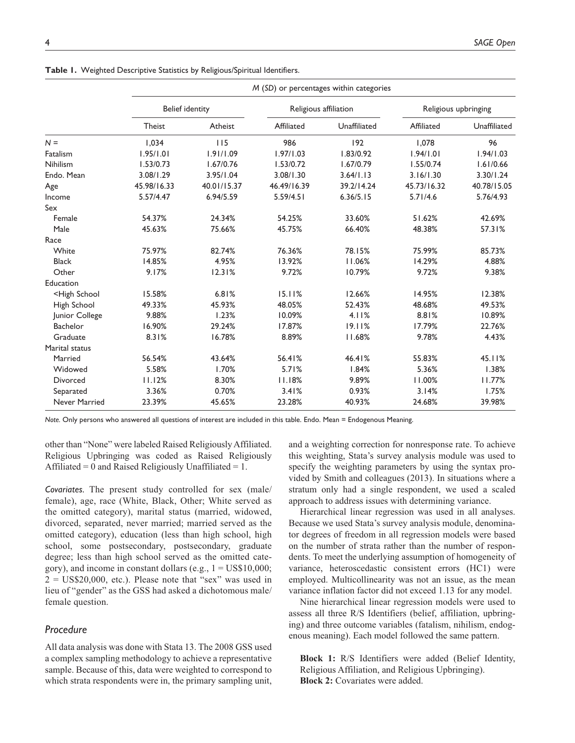|                                                                                                                         | M (SD) or percentages within categories |             |                       |              |                      |              |  |  |
|-------------------------------------------------------------------------------------------------------------------------|-----------------------------------------|-------------|-----------------------|--------------|----------------------|--------------|--|--|
|                                                                                                                         | <b>Belief identity</b>                  |             | Religious affiliation |              | Religious upbringing |              |  |  |
|                                                                                                                         | <b>Theist</b>                           | Atheist     | Affiliated            | Unaffiliated | Affiliated           | Unaffiliated |  |  |
| $N =$                                                                                                                   | 1.034                                   | 115         | 986                   | 192          | 1.078                | 96           |  |  |
| Fatalism                                                                                                                | 1.95/1.01                               | 1.91/1.09   | 1.97/1.03             | 1.83/0.92    | 1.94/1.01            | 1.94/1.03    |  |  |
| Nihilism                                                                                                                | 1.53/0.73                               | 1.67/0.76   | 1.53/0.72             | 1.67/0.79    | 1.55/0.74            | 1.61/0.66    |  |  |
| Endo. Mean                                                                                                              | 3.08/1.29                               | 3.95/1.04   | 3.08/1.30             | 3.64/1.13    | 3.16/1.30            | 3.30/1.24    |  |  |
| Age                                                                                                                     | 45.98/16.33                             | 40.01/15.37 | 46.49/16.39           | 39.2/14.24   | 45.73/16.32          | 40.78/15.05  |  |  |
| Income                                                                                                                  | 5.57/4.47                               | 6.94/5.59   | 5.59/4.51             | 6.36/5.15    | 5.71/4.6             | 5.76/4.93    |  |  |
| Sex                                                                                                                     |                                         |             |                       |              |                      |              |  |  |
| Female                                                                                                                  | 54.37%                                  | 24.34%      | 54.25%                | 33.60%       | 51.62%               | 42.69%       |  |  |
| Male                                                                                                                    | 45.63%                                  | 75.66%      | 45.75%                | 66.40%       | 48.38%               | 57.31%       |  |  |
| Race                                                                                                                    |                                         |             |                       |              |                      |              |  |  |
| White                                                                                                                   | 75.97%                                  | 82.74%      | 76.36%                | 78.15%       | 75.99%               | 85.73%       |  |  |
| <b>Black</b>                                                                                                            | 14.85%                                  | 4.95%       | 13.92%                | 11.06%       | 14.29%               | 4.88%        |  |  |
| Other                                                                                                                   | 9.17%                                   | 12.31%      | 9.72%                 | 10.79%       | 9.72%                | 9.38%        |  |  |
| Education                                                                                                               |                                         |             |                       |              |                      |              |  |  |
| <high school<="" td=""><td>15.58%</td><td>6.81%</td><td>15.11%</td><td>12.66%</td><td>14.95%</td><td>12.38%</td></high> | 15.58%                                  | 6.81%       | 15.11%                | 12.66%       | 14.95%               | 12.38%       |  |  |
| High School                                                                                                             | 49.33%                                  | 45.93%      | 48.05%                | 52.43%       | 48.68%               | 49.53%       |  |  |
| Junior College                                                                                                          | 9.88%                                   | 1.23%       | 10.09%                | 4.11%        | 8.81%                | 10.89%       |  |  |
| <b>Bachelor</b>                                                                                                         | 16.90%                                  | 29.24%      | 17.87%                | 19.11%       | 17.79%               | 22.76%       |  |  |
| Graduate                                                                                                                | 8.31%                                   | 16.78%      | 8.89%                 | 11.68%       | 9.78%                | 4.43%        |  |  |
| Marital status                                                                                                          |                                         |             |                       |              |                      |              |  |  |
| Married                                                                                                                 | 56.54%                                  | 43.64%      | 56.41%                | 46.41%       | 55.83%               | 45.11%       |  |  |
| Widowed                                                                                                                 | 5.58%                                   | 1.70%       | 5.71%                 | 1.84%        | 5.36%                | 1.38%        |  |  |
| Divorced                                                                                                                | 11.12%                                  | 8.30%       | 11.18%                | 9.89%        | 11.00%               | 11.77%       |  |  |
| Separated                                                                                                               | 3.36%                                   | 0.70%       | 3.41%                 | 0.93%        | 3.14%                | 1.75%        |  |  |
| Never Married                                                                                                           | 23.39%                                  | 45.65%      | 23.28%                | 40.93%       | 24.68%               | 39.98%       |  |  |

**Table 1.** Weighted Descriptive Statistics by Religious/Spiritual Identifiers.

*Note.* Only persons who answered all questions of interest are included in this table. Endo. Mean = Endogenous Meaning.

other than "None" were labeled Raised Religiously Affiliated. Religious Upbringing was coded as Raised Religiously Affiliated  $= 0$  and Raised Religiously Unaffiliated  $= 1$ .

*Covariates.* The present study controlled for sex (male/ female), age, race (White, Black, Other; White served as the omitted category), marital status (married, widowed, divorced, separated, never married; married served as the omitted category), education (less than high school, high school, some postsecondary, postsecondary, graduate degree; less than high school served as the omitted category), and income in constant dollars (e.g., 1 = US\$10,000;  $2 = US$20,000$ , etc.). Please note that "sex" was used in lieu of "gender" as the GSS had asked a dichotomous male/ female question.

## *Procedure*

All data analysis was done with Stata 13. The 2008 GSS used a complex sampling methodology to achieve a representative sample. Because of this, data were weighted to correspond to which strata respondents were in, the primary sampling unit,

and a weighting correction for nonresponse rate. To achieve this weighting, Stata's survey analysis module was used to specify the weighting parameters by using the syntax provided by Smith and colleagues (2013). In situations where a stratum only had a single respondent, we used a scaled approach to address issues with determining variance.

Hierarchical linear regression was used in all analyses. Because we used Stata's survey analysis module, denominator degrees of freedom in all regression models were based on the number of strata rather than the number of respondents. To meet the underlying assumption of homogeneity of variance, heteroscedastic consistent errors (HC1) were employed. Multicollinearity was not an issue, as the mean variance inflation factor did not exceed 1.13 for any model.

Nine hierarchical linear regression models were used to assess all three R/S Identifiers (belief, affiliation, upbringing) and three outcome variables (fatalism, nihilism, endogenous meaning). Each model followed the same pattern.

**Block 1:** R/S Identifiers were added (Belief Identity, Religious Affiliation, and Religious Upbringing). **Block 2:** Covariates were added.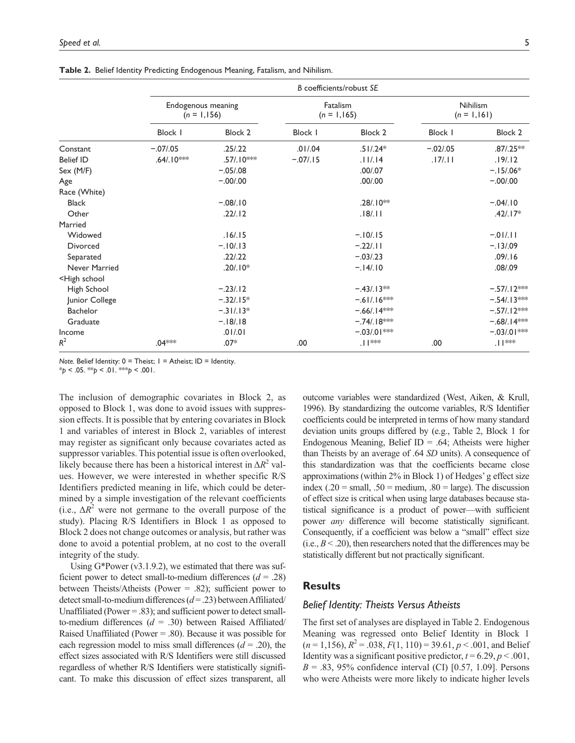|                                                                                      | B coefficients/robust SE             |                |                            |                |                                   |               |  |
|--------------------------------------------------------------------------------------|--------------------------------------|----------------|----------------------------|----------------|-----------------------------------|---------------|--|
|                                                                                      | Endogenous meaning<br>$(n = 1, 156)$ |                | Fatalism<br>$(n = 1, 165)$ |                | <b>Nihilism</b><br>$(n = 1, 161)$ |               |  |
|                                                                                      | <b>Block I</b>                       | <b>Block 2</b> | <b>Block I</b>             | <b>Block 2</b> | Block I                           | Block 2       |  |
| Constant                                                                             | $-.07/.05$                           | .25/.22        | .01/04                     | $.51/.24*$     | $-.02/.05$                        | $.87/0.25**$  |  |
| <b>Belief ID</b>                                                                     | $.64/.10***$                         | $.57/.10***$   | $-.07/.15$                 | .11/14         | .17/.11                           | .19/.12       |  |
| Sex (M/F)                                                                            |                                      | $-.05/.08$     |                            | .00/07         |                                   | $-.15/06*$    |  |
| Age                                                                                  |                                      | $-.00/.00$     |                            | .00/00         |                                   | $-.00/.00$    |  |
| Race (White)                                                                         |                                      |                |                            |                |                                   |               |  |
| <b>Black</b>                                                                         |                                      | $-.08/.10$     |                            | $.28/.10**$    |                                   | $-.04/.10$    |  |
| Other                                                                                |                                      | .22/.12        |                            | .18/.11        |                                   | $.42/.17*$    |  |
| Married                                                                              |                                      |                |                            |                |                                   |               |  |
| Widowed                                                                              |                                      | .16/.15        |                            | $-.10/.15$     |                                   | $-.01/11$     |  |
| <b>Divorced</b>                                                                      |                                      | $-.10/.13$     |                            | $-.22/.11$     |                                   | $-.13/09$     |  |
| Separated                                                                            |                                      | .22/.22        |                            | $-.03/.23$     |                                   | .09/.16       |  |
| Never Married                                                                        |                                      | $.20/.10*$     |                            | $-.14/.10$     |                                   | .08/0.09      |  |
| <high school<="" td=""><td></td><td></td><td></td><td></td><td></td><td></td></high> |                                      |                |                            |                |                                   |               |  |
| High School                                                                          |                                      | $-.23/.12$     |                            | $-.43/.13**$   |                                   | $-.57/.12***$ |  |
| Junior College                                                                       |                                      | $-.32/.15*$    |                            | $-.61/.16***$  |                                   | $-.54/.13***$ |  |
| Bachelor                                                                             |                                      | $-.31/.13*$    |                            | $-.66/.14**$   |                                   | $-.57/.12***$ |  |
| Graduate                                                                             |                                      | $-.18/.18$     |                            | $-.74/.18***$  |                                   | $-.68/.14***$ |  |
| Income                                                                               |                                      | .01/01         |                            | $-.03/01$ ***  |                                   | $-.03/01$ **  |  |
| $R^2$                                                                                | $.04***$                             | $.07*$         | .00                        | $.  ^{***}$    | .00                               | .∣ **         |  |

**Table 2.** Belief Identity Predicting Endogenous Meaning, Fatalism, and Nihilism.

*Note.* Belief Identity:  $0 =$  Theist;  $1 =$  Atheist; ID = Identity.

 $*_{p}$  < .05.  $*_{p}$  < .01.  $*_{p}$  < .001.

The inclusion of demographic covariates in Block 2, as opposed to Block 1, was done to avoid issues with suppression effects. It is possible that by entering covariates in Block 1 and variables of interest in Block 2, variables of interest may register as significant only because covariates acted as suppressor variables. This potential issue is often overlooked, likely because there has been a historical interest in  $\Delta R^2$  values. However, we were interested in whether specific R/S Identifiers predicted meaning in life, which could be determined by a simple investigation of the relevant coefficients (i.e.,  $\Delta R^2$  were not germane to the overall purpose of the study). Placing R/S Identifiers in Block 1 as opposed to Block 2 does not change outcomes or analysis, but rather was done to avoid a potential problem, at no cost to the overall integrity of the study.

Using G\*Power (v3.1.9.2), we estimated that there was sufficient power to detect small-to-medium differences  $(d = .28)$ between Theists/Atheists (Power = .82); sufficient power to detect small-to-medium differences (*d* = .23) between Affiliated/ Unaffiliated (Power = .83); and sufficient power to detect smallto-medium differences (*d* = .30) between Raised Affiliated/ Raised Unaffiliated (Power  $=$  .80). Because it was possible for each regression model to miss small differences  $(d = .20)$ , the effect sizes associated with R/S Identifiers were still discussed regardless of whether R/S Identifiers were statistically significant. To make this discussion of effect sizes transparent, all outcome variables were standardized (West, Aiken, & Krull, 1996). By standardizing the outcome variables, R/S Identifier coefficients could be interpreted in terms of how many standard deviation units groups differed by (e.g., Table 2, Block 1 for Endogenous Meaning, Belief ID = .64; Atheists were higher than Theists by an average of .64 *SD* units). A consequence of this standardization was that the coefficients became close approximations (within 2% in Block 1) of Hedges' g effect size index (.20 = small, .50 = medium, .80 = large). The discussion of effect size is critical when using large databases because statistical significance is a product of power—with sufficient power *any* difference will become statistically significant. Consequently, if a coefficient was below a "small" effect size  $(i.e.,  $B < .20$ ), then researchers noted that the differences may be$ statistically different but not practically significant.

## **Results**

## *Belief Identity: Theists Versus Atheists*

The first set of analyses are displayed in Table 2. Endogenous Meaning was regressed onto Belief Identity in Block 1  $(n=1,156)$ ,  $R^2 = .038$ ,  $F(1, 110) = 39.61$ ,  $p < .001$ , and Belief Identity was a significant positive predictor,  $t = 6.29$ ,  $p < .001$ ,  $B = .83, 95\%$  confidence interval (CI) [0.57, 1.09]. Persons who were Atheists were more likely to indicate higher levels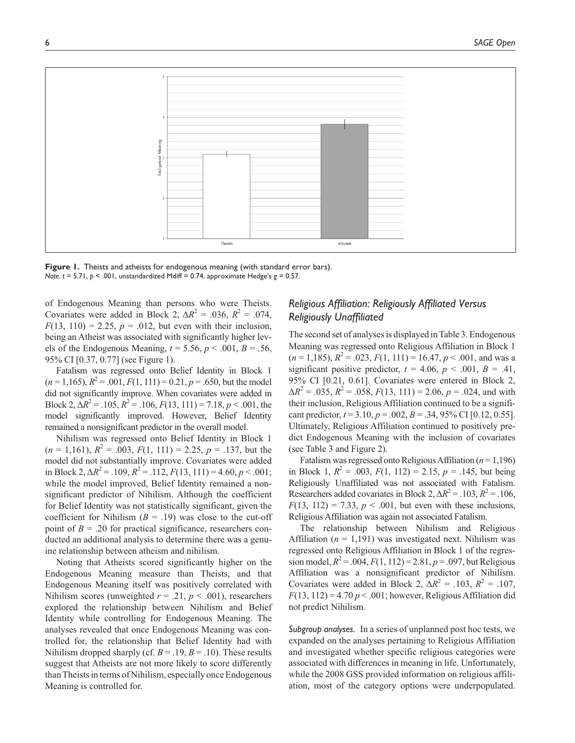

Figure 1. Theists and atheists for endogenous meaning (with standard error bars). *Note. t* = 5.71, *p* < .001, unstandardized Mdiff = 0.74, approximate Hedge's *g* = 0.57.

of Endogenous Meaning than persons who were Theists. Covariates were added in Block 2,  $\Delta R^2 = .036$ ,  $R^2 = .074$ ,  $F(13, 110) = 2.25, p = .012$ , but even with their inclusion, being an Atheist was associated with significantly higher levels of the Endogenous Meaning,  $t = 5.56$ ,  $p < .001$ ,  $B = .56$ , 95% CI [0.37, 0.77] (see Figure 1).

Fatalism was regressed onto Belief Identity in Block 1  $(n=1,165)$ ,  $R^2 = .001$ ,  $F(1, 111) = 0.21$ ,  $p = .650$ , but the model did not significantly improve. When covariates were added in Block 2,  $\Delta R^2 = .105$ ,  $R^2 = .106$ ,  $F(13, 111) = 7.18$ ,  $p < .001$ , the model significantly improved. However, Belief Identity remained a nonsignificant predictor in the overall model.

Nihilism was regressed onto Belief Identity in Block 1  $(n = 1,161)$ ,  $R^2 = .003$ ,  $F(1, 111) = 2.25$ ,  $p = .137$ , but the model did not substantially improve. Covariates were added in Block 2,  $\Delta R^2 = .109$ ,  $R^2 = .112$ ,  $F(13, 111) = 4.60$ ,  $p < .001$ ; while the model improved, Belief Identity remained a nonsignificant predictor of Nihilism. Although the coefficient for Belief Identity was not statistically significant, given the coefficient for Nihilism  $(B = .19)$  was close to the cut-off point of  $B = .20$  for practical significance, researchers conducted an additional analysis to determine there was a genuine relationship between atheism and nihilism.

Noting that Atheists scored significantly higher on the Endogenous Meaning measure than Theists, and that Endogenous Meaning itself was positively correlated with Nihilism scores (unweighted  $r = .21$ ,  $p < .001$ ), researchers explored the relationship between Nihilism and Belief Identity while controlling for Endogenous Meaning. The analyses revealed that once Endogenous Meaning was controlled for, the relationship that Belief Identity had with Nihilism dropped sharply (cf.  $B = .19$ ,  $B = .10$ ). These results suggest that Atheists are not more likely to score differently than Theists in terms of Nihilism, especially once Endogenous Meaning is controlled for.

## *Religious Affiliation: Religiously Affiliated Versus Religiously Unaffiliated*

The second set of analyses is displayed in Table 3. Endogenous Meaning was regressed onto Religious Affiliation in Block 1  $(n = 1,185)$ ,  $R^2 = .023$ ,  $F(1, 111) = 16.47$ ,  $p < .001$ , and was a significant positive predictor,  $t = 4.06$ ,  $p < .001$ ,  $B = .41$ , 95% CI [0.21, 0.61]. Covariates were entered in Block 2,  $\Delta R^2 = .035$ ,  $R^2 = .058$ ,  $F(13, 111) = 2.06$ ,  $p = .024$ , and with their inclusion, Religious Affiliation continued to be a significant predictor,  $t = 3.10$ ,  $p = .002$ ,  $B = .34$ , 95% CI [0.12, 0.55]. Ultimately, Religious Affiliation continued to positively predict Endogenous Meaning with the inclusion of covariates (see Table 3 and Figure 2).

Fatalism was regressed onto Religious Affiliation (*n* = 1,196) in Block 1,  $R^2 = .003$ ,  $F(1, 112) = 2.15$ ,  $p = .145$ , but being Religiously Unaffiliated was not associated with Fatalism. Researchers added covariates in Block 2,  $\Delta R^2 = .103$ ,  $R^2 = .106$ ,  $F(13, 112) = 7.33, p < .001$ , but even with these inclusions, Religious Affiliation was again not associated Fatalism.

The relationship between Nihilism and Religious Affiliation  $(n = 1,191)$  was investigated next. Nihilism was regressed onto Religious Affiliation in Block 1 of the regression model,  $R^2 = .004$ ,  $F(1, 112) = 2.81$ ,  $p = .097$ , but Religious Affiliation was a nonsignificant predictor of Nihilism. Covariates were added in Block 2,  $\Delta R^2 = .103$ ,  $R^2 = .107$ ,  $F(13, 112) = 4.70 p < .001$ ; however, Religious Affiliation did not predict Nihilism.

*Subgroup analyses.* In a series of unplanned post hoc tests, we expanded on the analyses pertaining to Religious Affiliation and investigated whether specific religious categories were associated with differences in meaning in life. Unfortunately, while the 2008 GSS provided information on religious affiliation, most of the category options were underpopulated.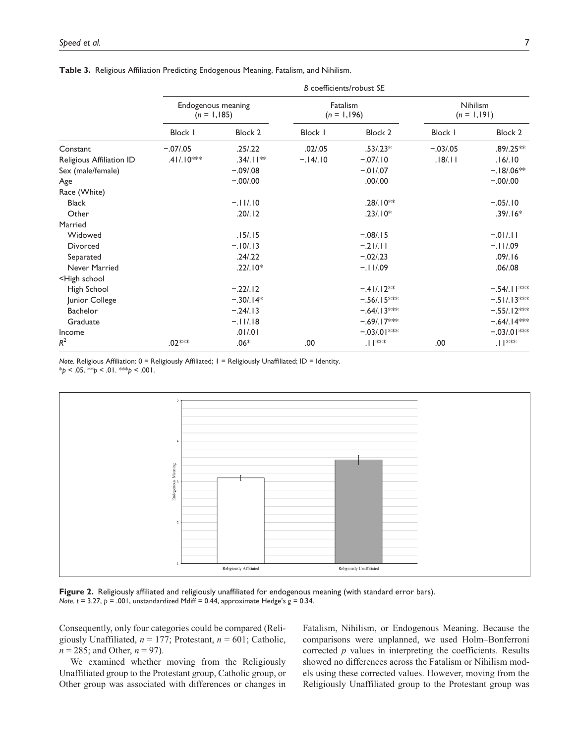|                                                                                      | B coefficients/robust SE             |                |                           |               |                                  |               |  |
|--------------------------------------------------------------------------------------|--------------------------------------|----------------|---------------------------|---------------|----------------------------------|---------------|--|
|                                                                                      | Endogenous meaning<br>$(n = 1, 185)$ |                | Fatalism<br>$(n = 1,196)$ |               | <b>Nihilism</b><br>$(n = 1,191)$ |               |  |
|                                                                                      | <b>Block I</b>                       | <b>Block 2</b> | Block I                   | Block 2       | Block I                          | Block 2       |  |
| Constant                                                                             | $-.07/05$                            | .25/.22        | .02/.05                   | $.53/.23*$    | $-.03/.05$                       | $.89/0.25**$  |  |
| Religious Affiliation ID                                                             | $.41/.10***$                         | $.34/.11***$   | $-.14/.10$                | $-.07/.10$    | .18/.11                          | .16/.10       |  |
| Sex (male/female)                                                                    |                                      | $-.09/.08$     |                           | $-.01/07$     |                                  | $-18/06**$    |  |
| Age                                                                                  |                                      | $-.00/.00$     |                           | .00/00        |                                  | $-.00/.00$    |  |
| Race (White)                                                                         |                                      |                |                           |               |                                  |               |  |
| <b>Black</b>                                                                         |                                      | $-.11/10$      |                           | $.28/.10**$   |                                  | $-.05/.10$    |  |
| Other                                                                                |                                      | .20/.12        |                           | $.23/.10*$    |                                  | $.39/.16*$    |  |
| Married                                                                              |                                      |                |                           |               |                                  |               |  |
| Widowed                                                                              |                                      | .15/0.15       |                           | $-.08/.15$    |                                  | $-.01/11$     |  |
| Divorced                                                                             |                                      | $-.10/.13$     |                           | $-.21/11$     |                                  | $-.11/09$     |  |
| Separated                                                                            |                                      | .24/0.22       |                           | $-.02/.23$    |                                  | .09/.16       |  |
| Never Married                                                                        |                                      | $.22/.10*$     |                           | $-.11/09$     |                                  | .06/0.08      |  |
| <high school<="" td=""><td></td><td></td><td></td><td></td><td></td><td></td></high> |                                      |                |                           |               |                                  |               |  |
| High School                                                                          |                                      | $-.22/.12$     |                           | $-.41/.12**$  |                                  | $-.54/.11***$ |  |
| Junior College                                                                       |                                      | $-.30/.14*$    |                           | $-.56/.15***$ |                                  | $-.51/.13***$ |  |
| Bachelor                                                                             |                                      | $-.24/.13$     |                           | $-.64/.13***$ |                                  | $-.55/.12***$ |  |
| Graduate                                                                             |                                      | $-.11/.18$     |                           | $-.69/.17***$ |                                  | $-.64/.14***$ |  |
| Income                                                                               |                                      | .01/01         |                           | $-.03/01$ *** |                                  | $-0.03/01$ ** |  |
| $R^2$                                                                                | .02 <sup>***</sup>                   | $.06*$         | .00                       |               | .00                              |               |  |

**Table 3.** Religious Affiliation Predicting Endogenous Meaning, Fatalism, and Nihilism.

*Note.* Religious Affiliation: 0 = Religiously Affiliated; 1 = Religiously Unaffiliated; ID = Identity.

 $*_{p}$  < .05.  $*_{p}$  < .01.  $*_{p}$  < .001.



**Figure 2.** Religiously affiliated and religiously unaffiliated for endogenous meaning (with standard error bars). *Note. t* = 3.27, *p* = .001, unstandardized Mdiff = 0.44, approximate Hedge's *g* = 0.34.

Consequently, only four categories could be compared (Religiously Unaffiliated, *n* = 177; Protestant, *n* = 601; Catholic, *n* = 285; and Other, *n* = 97).

We examined whether moving from the Religiously Unaffiliated group to the Protestant group, Catholic group, or Other group was associated with differences or changes in

Fatalism, Nihilism, or Endogenous Meaning. Because the comparisons were unplanned, we used Holm–Bonferroni corrected *p* values in interpreting the coefficients. Results showed no differences across the Fatalism or Nihilism models using these corrected values. However, moving from the Religiously Unaffiliated group to the Protestant group was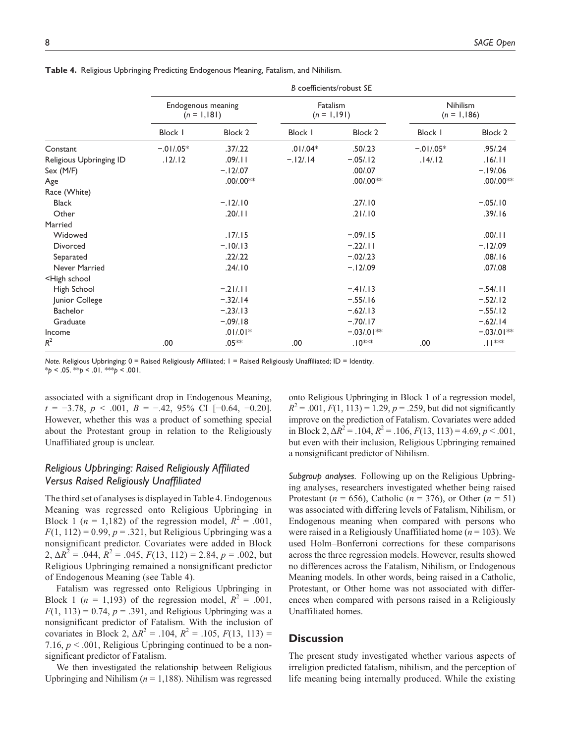|                                                                                      | B coefficients/robust SE            |                        |                           |                        |                           |                                   |
|--------------------------------------------------------------------------------------|-------------------------------------|------------------------|---------------------------|------------------------|---------------------------|-----------------------------------|
|                                                                                      | Endogenous meaning<br>$(n = 1,181)$ |                        | Fatalism<br>$(n = 1,191)$ |                        | Nihilism<br>$(n = 1,186)$ |                                   |
|                                                                                      | <b>Block I</b>                      | Block 2                | Block I                   | <b>Block 2</b>         | <b>Block I</b>            | Block 2                           |
| Constant                                                                             | $-.01/05*$                          | .37/0.22               | $.01/04*$                 | .50/.23                | $-.01/05*$                | .95/0.24                          |
| Religious Upbringing ID                                                              | .12/.12                             | .09/.11                | $-.12/.14$                | $-.05/.12$             | .14/.12                   | .16/.11                           |
| Sex (M/F)                                                                            |                                     | $-.12/.07$             |                           | .00/07                 |                           | $-19/06$                          |
| Age                                                                                  |                                     | $.00/00$ <sup>**</sup> |                           | $.00/00$ <sup>**</sup> |                           | $.00/00$ <sup>**</sup>            |
| Race (White)                                                                         |                                     |                        |                           |                        |                           |                                   |
| <b>Black</b>                                                                         |                                     | $-.12/.10$             |                           | .27/.10                |                           | $-.05/.10$                        |
| Other                                                                                |                                     | .20/.11                |                           | .21/.10                |                           | .39/.16                           |
| Married                                                                              |                                     |                        |                           |                        |                           |                                   |
| Widowed                                                                              |                                     | .17/0.15               |                           | $-.09/.15$             |                           | .00/.11                           |
| Divorced                                                                             |                                     | $-.10/.13$             |                           | $-.22/.11$             |                           | $-.12/.09$                        |
| Separated                                                                            |                                     | .22/.22                |                           | $-.02/.23$             |                           | .08/.16                           |
| Never Married                                                                        |                                     | .24/.10                |                           | $-.12/.09$             |                           | .07/08                            |
| <high school<="" td=""><td></td><td></td><td></td><td></td><td></td><td></td></high> |                                     |                        |                           |                        |                           |                                   |
| High School                                                                          |                                     | $-.21/11$              |                           | $-.41/.13$             |                           | $-.54/.11$                        |
| Junior College                                                                       |                                     | $-.32/.14$             |                           | $-.55/.16$             |                           | $-.52/.12$                        |
| Bachelor                                                                             |                                     | $-.23/.13$             |                           | $-.62/.13$             |                           | $-.55/.12$                        |
| Graduate                                                                             |                                     | $-.09/.18$             |                           | $-.70/.17$             |                           | $-.62/.14$                        |
| Income                                                                               |                                     | $.01/01*$              |                           | $-.03/01**$            |                           | $-.03/01**$                       |
| $R^2$                                                                                | .00                                 | $.05**$                | .00                       | $.10***$               | .00                       | .<br>  $\mathsf{I}^{\text{untr}}$ |

**Table 4.** Religious Upbringing Predicting Endogenous Meaning, Fatalism, and Nihilism.

*Note.* Religious Upbringing: 0 = Raised Religiously Affiliated; 1 = Raised Religiously Unaffiliated; ID = Identity. \**p* < .05. \*\**p* < .01. \*\*\**p* < .001.

associated with a significant drop in Endogenous Meaning, *t* = −3.78, *p* < .001, *B* = −.42, 95% CI [−0.64, −0.20]. However, whether this was a product of something special about the Protestant group in relation to the Religiously Unaffiliated group is unclear.

## *Religious Upbringing: Raised Religiously Affiliated Versus Raised Religiously Unaffiliated*

The third set of analyses is displayed in Table 4. Endogenous Meaning was regressed onto Religious Upbringing in Block 1 ( $n = 1,182$ ) of the regression model,  $R^2 = .001$ ,  $F(1, 112) = 0.99$ ,  $p = 0.321$ , but Religious Upbringing was a nonsignificant predictor. Covariates were added in Block 2,  $\Delta R^2$  = .044,  $R^2$  = .045,  $F(13, 112)$  = 2.84,  $p$  = .002, but Religious Upbringing remained a nonsignificant predictor of Endogenous Meaning (see Table 4).

Fatalism was regressed onto Religious Upbringing in Block 1 ( $n = 1,193$ ) of the regression model,  $R^2 = .001$ ,  $F(1, 113) = 0.74$ ,  $p = .391$ , and Religious Upbringing was a nonsignificant predictor of Fatalism. With the inclusion of covariates in Block 2,  $\Delta R^2 = .104$ ,  $R^2 = .105$ ,  $F(13, 113) =$ 7.16,  $p < .001$ , Religious Upbringing continued to be a nonsignificant predictor of Fatalism.

We then investigated the relationship between Religious Upbringing and Nihilism  $(n = 1,188)$ . Nihilism was regressed

onto Religious Upbringing in Block 1 of a regression model,  $R^2 = .001, F(1, 113) = 1.29, p = .259$ , but did not significantly improve on the prediction of Fatalism. Covariates were added in Block 2,  $\Delta R^2 = .104$ ,  $R^2 = .106$ ,  $F(13, 113) = 4.69$ ,  $p < .001$ , but even with their inclusion, Religious Upbringing remained a nonsignificant predictor of Nihilism.

*Subgroup analyses.* Following up on the Religious Upbringing analyses, researchers investigated whether being raised Protestant ( $n = 656$ ), Catholic ( $n = 376$ ), or Other ( $n = 51$ ) was associated with differing levels of Fatalism, Nihilism, or Endogenous meaning when compared with persons who were raised in a Religiously Unaffiliated home (*n* = 103). We used Holm–Bonferroni corrections for these comparisons across the three regression models. However, results showed no differences across the Fatalism, Nihilism, or Endogenous Meaning models. In other words, being raised in a Catholic, Protestant, or Other home was not associated with differences when compared with persons raised in a Religiously Unaffiliated homes.

## **Discussion**

The present study investigated whether various aspects of irreligion predicted fatalism, nihilism, and the perception of life meaning being internally produced. While the existing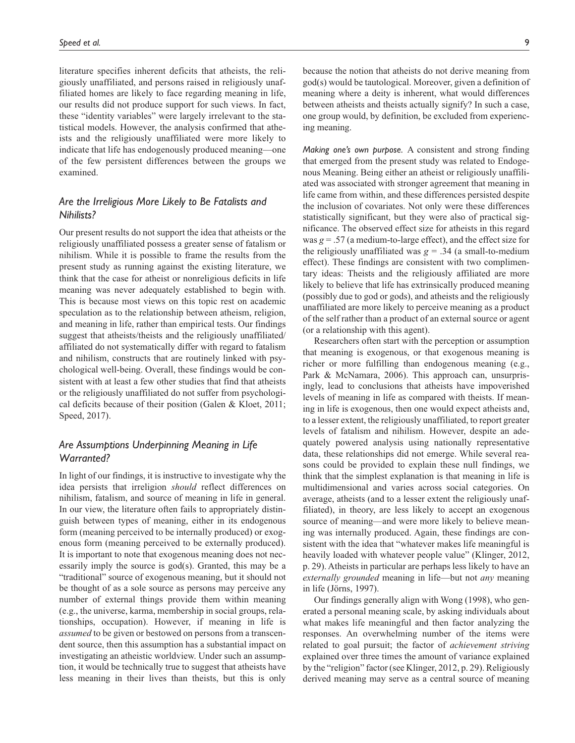literature specifies inherent deficits that atheists, the religiously unaffiliated, and persons raised in religiously unaffiliated homes are likely to face regarding meaning in life, our results did not produce support for such views. In fact, these "identity variables" were largely irrelevant to the statistical models. However, the analysis confirmed that atheists and the religiously unaffiliated were more likely to indicate that life has endogenously produced meaning—one of the few persistent differences between the groups we examined.

## *Are the Irreligious More Likely to Be Fatalists and Nihilists?*

Our present results do not support the idea that atheists or the religiously unaffiliated possess a greater sense of fatalism or nihilism. While it is possible to frame the results from the present study as running against the existing literature, we think that the case for atheist or nonreligious deficits in life meaning was never adequately established to begin with. This is because most views on this topic rest on academic speculation as to the relationship between atheism, religion, and meaning in life, rather than empirical tests. Our findings suggest that atheists/theists and the religiously unaffiliated/ affiliated do not systematically differ with regard to fatalism and nihilism, constructs that are routinely linked with psychological well-being. Overall, these findings would be consistent with at least a few other studies that find that atheists or the religiously unaffiliated do not suffer from psychological deficits because of their position (Galen & Kloet, 2011; Speed, 2017).

## *Are Assumptions Underpinning Meaning in Life Warranted?*

In light of our findings, it is instructive to investigate why the idea persists that irreligion *should* reflect differences on nihilism, fatalism, and source of meaning in life in general. In our view, the literature often fails to appropriately distinguish between types of meaning, either in its endogenous form (meaning perceived to be internally produced) or exogenous form (meaning perceived to be externally produced). It is important to note that exogenous meaning does not necessarily imply the source is god(s). Granted, this may be a "traditional" source of exogenous meaning, but it should not be thought of as a sole source as persons may perceive any number of external things provide them within meaning (e.g., the universe, karma, membership in social groups, relationships, occupation). However, if meaning in life is *assumed* to be given or bestowed on persons from a transcendent source, then this assumption has a substantial impact on investigating an atheistic worldview. Under such an assumption, it would be technically true to suggest that atheists have less meaning in their lives than theists, but this is only

because the notion that atheists do not derive meaning from god(s) would be tautological. Moreover, given a definition of meaning where a deity is inherent, what would differences between atheists and theists actually signify? In such a case, one group would, by definition, be excluded from experiencing meaning.

*Making one's own purpose.* A consistent and strong finding that emerged from the present study was related to Endogenous Meaning. Being either an atheist or religiously unaffiliated was associated with stronger agreement that meaning in life came from within, and these differences persisted despite the inclusion of covariates. Not only were these differences statistically significant, but they were also of practical significance. The observed effect size for atheists in this regard was  $g = 0.57$  (a medium-to-large effect), and the effect size for the religiously unaffiliated was  $g = 0.34$  (a small-to-medium effect). These findings are consistent with two complimentary ideas: Theists and the religiously affiliated are more likely to believe that life has extrinsically produced meaning (possibly due to god or gods), and atheists and the religiously unaffiliated are more likely to perceive meaning as a product of the self rather than a product of an external source or agent (or a relationship with this agent).

Researchers often start with the perception or assumption that meaning is exogenous, or that exogenous meaning is richer or more fulfilling than endogenous meaning (e.g., Park & McNamara, 2006). This approach can, unsurprisingly, lead to conclusions that atheists have impoverished levels of meaning in life as compared with theists. If meaning in life is exogenous, then one would expect atheists and, to a lesser extent, the religiously unaffiliated, to report greater levels of fatalism and nihilism. However, despite an adequately powered analysis using nationally representative data, these relationships did not emerge. While several reasons could be provided to explain these null findings, we think that the simplest explanation is that meaning in life is multidimensional and varies across social categories. On average, atheists (and to a lesser extent the religiously unaffiliated), in theory, are less likely to accept an exogenous source of meaning—and were more likely to believe meaning was internally produced. Again, these findings are consistent with the idea that "whatever makes life meaningful is heavily loaded with whatever people value" (Klinger, 2012, p. 29). Atheists in particular are perhaps less likely to have an *externally grounded* meaning in life—but not *any* meaning in life (Jörns, 1997).

Our findings generally align with Wong (1998), who generated a personal meaning scale, by asking individuals about what makes life meaningful and then factor analyzing the responses. An overwhelming number of the items were related to goal pursuit; the factor of *achievement striving* explained over three times the amount of variance explained by the "religion" factor (see Klinger, 2012, p. 29). Religiously derived meaning may serve as a central source of meaning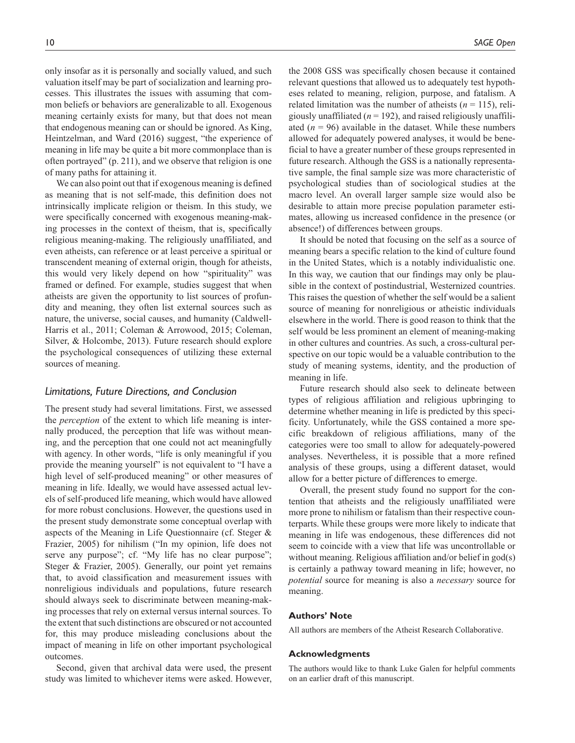only insofar as it is personally and socially valued, and such valuation itself may be part of socialization and learning processes. This illustrates the issues with assuming that common beliefs or behaviors are generalizable to all. Exogenous meaning certainly exists for many, but that does not mean that endogenous meaning can or should be ignored. As King, Heintzelman, and Ward (2016) suggest, "the experience of meaning in life may be quite a bit more commonplace than is often portrayed" (p. 211), and we observe that religion is one of many paths for attaining it.

We can also point out that if exogenous meaning is defined as meaning that is not self-made, this definition does not intrinsically implicate religion or theism. In this study, we were specifically concerned with exogenous meaning-making processes in the context of theism, that is, specifically religious meaning-making. The religiously unaffiliated, and even atheists, can reference or at least perceive a spiritual or transcendent meaning of external origin, though for atheists, this would very likely depend on how "spirituality" was framed or defined. For example, studies suggest that when atheists are given the opportunity to list sources of profundity and meaning, they often list external sources such as nature, the universe, social causes, and humanity (Caldwell-Harris et al., 2011; Coleman & Arrowood, 2015; Coleman, Silver, & Holcombe, 2013). Future research should explore the psychological consequences of utilizing these external sources of meaning.

## *Limitations, Future Directions, and Conclusion*

The present study had several limitations. First, we assessed the *perception* of the extent to which life meaning is internally produced, the perception that life was without meaning, and the perception that one could not act meaningfully with agency. In other words, "life is only meaningful if you provide the meaning yourself" is not equivalent to "I have a high level of self-produced meaning" or other measures of meaning in life. Ideally, we would have assessed actual levels of self-produced life meaning, which would have allowed for more robust conclusions. However, the questions used in the present study demonstrate some conceptual overlap with aspects of the Meaning in Life Questionnaire (cf. Steger & Frazier, 2005) for nihilism ("In my opinion, life does not serve any purpose"; cf. "My life has no clear purpose"; Steger & Frazier, 2005). Generally, our point yet remains that, to avoid classification and measurement issues with nonreligious individuals and populations, future research should always seek to discriminate between meaning-making processes that rely on external versus internal sources. To the extent that such distinctions are obscured or not accounted for, this may produce misleading conclusions about the impact of meaning in life on other important psychological outcomes.

Second, given that archival data were used, the present study was limited to whichever items were asked. However,

the 2008 GSS was specifically chosen because it contained relevant questions that allowed us to adequately test hypotheses related to meaning, religion, purpose, and fatalism. A related limitation was the number of atheists  $(n = 115)$ , religiously unaffiliated  $(n = 192)$ , and raised religiously unaffiliated  $(n = 96)$  available in the dataset. While these numbers allowed for adequately powered analyses, it would be beneficial to have a greater number of these groups represented in future research. Although the GSS is a nationally representative sample, the final sample size was more characteristic of psychological studies than of sociological studies at the macro level. An overall larger sample size would also be desirable to attain more precise population parameter estimates, allowing us increased confidence in the presence (or absence!) of differences between groups.

It should be noted that focusing on the self as a source of meaning bears a specific relation to the kind of culture found in the United States, which is a notably individualistic one. In this way, we caution that our findings may only be plausible in the context of postindustrial, Westernized countries. This raises the question of whether the self would be a salient source of meaning for nonreligious or atheistic individuals elsewhere in the world. There is good reason to think that the self would be less prominent an element of meaning-making in other cultures and countries. As such, a cross-cultural perspective on our topic would be a valuable contribution to the study of meaning systems, identity, and the production of meaning in life.

Future research should also seek to delineate between types of religious affiliation and religious upbringing to determine whether meaning in life is predicted by this specificity. Unfortunately, while the GSS contained a more specific breakdown of religious affiliations, many of the categories were too small to allow for adequately-powered analyses. Nevertheless, it is possible that a more refined analysis of these groups, using a different dataset, would allow for a better picture of differences to emerge.

Overall, the present study found no support for the contention that atheists and the religiously unaffiliated were more prone to nihilism or fatalism than their respective counterparts. While these groups were more likely to indicate that meaning in life was endogenous, these differences did not seem to coincide with a view that life was uncontrollable or without meaning. Religious affiliation and/or belief in god(s) is certainly a pathway toward meaning in life; however, no *potential* source for meaning is also a *necessary* source for meaning.

#### **Authors' Note**

All authors are members of the Atheist Research Collaborative.

#### **Acknowledgments**

The authors would like to thank Luke Galen for helpful comments on an earlier draft of this manuscript.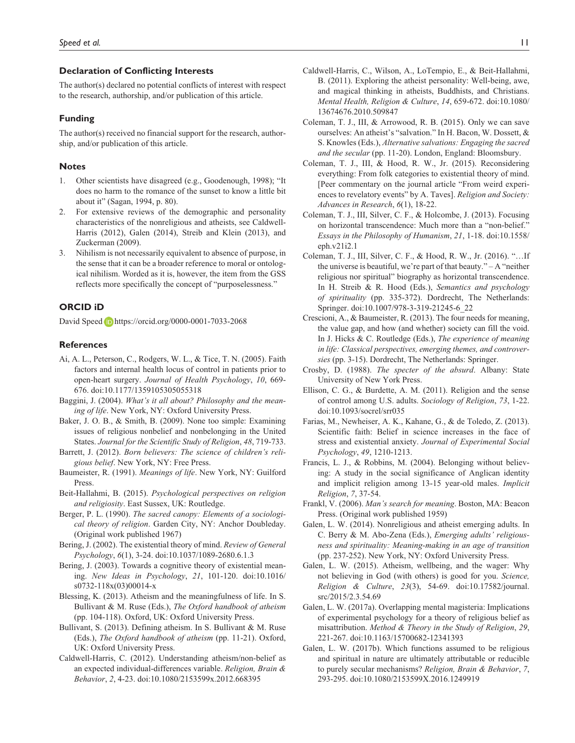### **Declaration of Conflicting Interests**

The author(s) declared no potential conflicts of interest with respect to the research, authorship, and/or publication of this article.

#### **Funding**

The author(s) received no financial support for the research, authorship, and/or publication of this article.

#### **Notes**

- 1. Other scientists have disagreed (e.g., Goodenough, 1998); "It does no harm to the romance of the sunset to know a little bit about it" (Sagan, 1994, p. 80).
- 2. For extensive reviews of the demographic and personality characteristics of the nonreligious and atheists, see Caldwell-Harris (2012), Galen (2014), Streib and Klein (2013), and Zuckerman (2009).
- 3. Nihilism is not necessarily equivalent to absence of purpose, in the sense that it can be a broader reference to moral or ontological nihilism. Worded as it is, however, the item from the GSS reflects more specifically the concept of "purposelessness."

## **ORCID iD**

David Speed **i**D <https://orcid.org/0000-0001-7033-2068>

#### **References**

- Ai, A. L., Peterson, C., Rodgers, W. L., & Tice, T. N. (2005). Faith factors and internal health locus of control in patients prior to open-heart surgery. *Journal of Health Psychology*, *10*, 669- 676. doi:10.1177/1359105305055318
- Baggini, J. (2004). *What's it all about? Philosophy and the meaning of life*. New York, NY: Oxford University Press.
- Baker, J. O. B., & Smith, B. (2009). None too simple: Examining issues of religious nonbelief and nonbelonging in the United States. *Journal for the Scientific Study of Religion*, *48*, 719-733.
- Barrett, J. (2012). *Born believers: The science of children's religious belief*. New York, NY: Free Press.
- Baumeister, R. (1991). *Meanings of life*. New York, NY: Guilford Press.
- Beit-Hallahmi, B. (2015). *Psychological perspectives on religion and religiosity*. East Sussex, UK: Routledge.
- Berger, P. L. (1990). *The sacred canopy: Elements of a sociological theory of religion*. Garden City, NY: Anchor Doubleday. (Original work published 1967)
- Bering, J. (2002). The existential theory of mind. *Review of General Psychology*, *6*(1), 3-24. doi:10.1037/1089-2680.6.1.3
- Bering, J. (2003). Towards a cognitive theory of existential meaning. *New Ideas in Psychology*, *21*, 101-120. doi:10.1016/ s0732-118x(03)00014-x
- Blessing, K. (2013). Atheism and the meaningfulness of life. In S. Bullivant & M. Ruse (Eds.), *The Oxford handbook of atheism* (pp. 104-118). Oxford, UK: Oxford University Press.
- Bullivant, S. (2013). Defining atheism. In S. Bullivant & M. Ruse (Eds.), *The Oxford handbook of atheism* (pp. 11-21). Oxford, UK: Oxford University Press.
- Caldwell-Harris, C. (2012). Understanding atheism/non-belief as an expected individual-differences variable. *Religion, Brain & Behavior*, *2*, 4-23. doi:10.1080/2153599x.2012.668395
- Caldwell-Harris, C., Wilson, A., LoTempio, E., & Beit-Hallahmi, B. (2011). Exploring the atheist personality: Well-being, awe, and magical thinking in atheists, Buddhists, and Christians. *Mental Health, Religion & Culture*, *14*, 659-672. doi:10.1080/ 13674676.2010.509847
- Coleman, T. J., III, & Arrowood, R. B. (2015). Only we can save ourselves: An atheist's "salvation." In H. Bacon, W. Dossett, & S. Knowles (Eds.), *Alternative salvations: Engaging the sacred and the secular* (pp. 11-20). London, England: Bloomsbury.
- Coleman, T. J., III, & Hood, R. W., Jr. (2015). Reconsidering everything: From folk categories to existential theory of mind. [Peer commentary on the journal article "From weird experiences to revelatory events" by A. Taves]. *Religion and Society: Advances in Research*, *6*(1), 18-22.
- Coleman, T. J., III, Silver, C. F., & Holcombe, J. (2013). Focusing on horizontal transcendence: Much more than a "non-belief." *Essays in the Philosophy of Humanism*, *21*, 1-18. doi:10.1558/ eph.v21i2.1
- Coleman, T. J., III, Silver, C. F., & Hood, R. W., Jr. (2016). "…If the universe is beautiful, we're part of that beauty." – A "neither religious nor spiritual" biography as horizontal transcendence. In H. Streib & R. Hood (Eds.), *Semantics and psychology of spirituality* (pp. 335-372). Dordrecht, The Netherlands: Springer. doi:10.1007/978-3-319-21245-6\_22
- Crescioni, A., & Baumeister, R. (2013). The four needs for meaning, the value gap, and how (and whether) society can fill the void. In J. Hicks & C. Routledge (Eds.), *The experience of meaning in life: Classical perspectives, emerging themes, and controversies* (pp. 3-15). Dordrecht, The Netherlands: Springer.
- Crosby, D. (1988). *The specter of the absurd*. Albany: State University of New York Press.
- Ellison, C. G., & Burdette, A. M. (2011). Religion and the sense of control among U.S. adults. *Sociology of Religion*, *73*, 1-22. doi:10.1093/socrel/srr035
- Farias, M., Newheiser, A. K., Kahane, G., & de Toledo, Z. (2013). Scientific faith: Belief in science increases in the face of stress and existential anxiety. *Journal of Experimental Social Psychology*, *49*, 1210-1213.
- Francis, L. J., & Robbins, M. (2004). Belonging without believing: A study in the social significance of Anglican identity and implicit religion among 13-15 year-old males. *Implicit Religion*, *7*, 37-54.
- Frankl, V. (2006). *Man's search for meaning*. Boston, MA: Beacon Press. (Original work published 1959)
- Galen, L. W. (2014). Nonreligious and atheist emerging adults. In C. Berry & M. Abo-Zena (Eds.), *Emerging adults' religiousness and spirituality: Meaning-making in an age of transition* (pp. 237-252). New York, NY: Oxford University Press.
- Galen, L. W. (2015). Atheism, wellbeing, and the wager: Why not believing in God (with others) is good for you. *Science, Religion & Culture*, *23*(3), 54-69. doi:10.17582/journal. src/2015/2.3.54.69
- Galen, L. W. (2017a). Overlapping mental magisteria: Implications of experimental psychology for a theory of religious belief as misattribution. *Method & Theory in the Study of Religion*, *29*, 221-267. doi:10.1163/15700682-12341393
- Galen, L. W. (2017b). Which functions assumed to be religious and spiritual in nature are ultimately attributable or reducible to purely secular mechanisms? *Religion, Brain & Behavior*, *7*, 293-295. doi:10.1080/2153599X.2016.1249919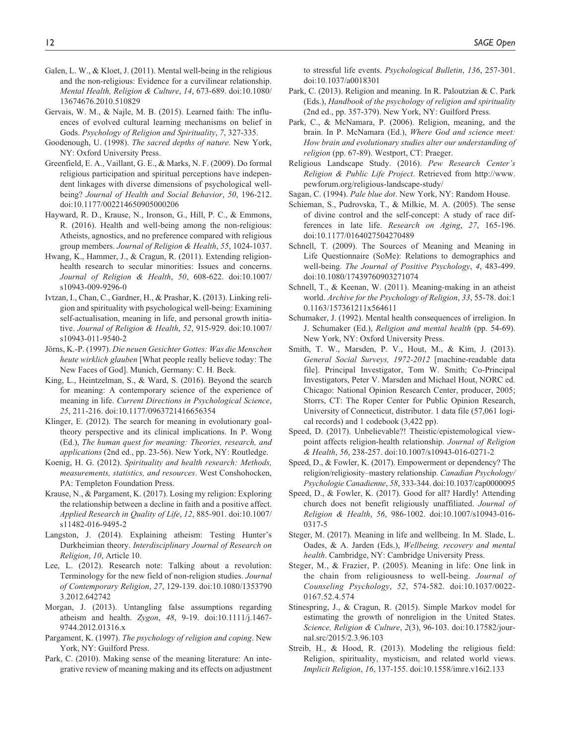- Galen, L. W., & Kloet, J. (2011). Mental well-being in the religious and the non-religious: Evidence for a curvilinear relationship. *Mental Health, Religion & Culture*, *14*, 673-689. doi:10.1080/ 13674676.2010.510829
- Gervais, W. M., & Najle, M. B. (2015). Learned faith: The influences of evolved cultural learning mechanisms on belief in Gods. *Psychology of Religion and Spirituality*, *7*, 327-335.
- Goodenough, U. (1998). *The sacred depths of nature*. New York, NY: Oxford University Press.
- Greenfield, E. A., Vaillant, G. E., & Marks, N. F. (2009). Do formal religious participation and spiritual perceptions have independent linkages with diverse dimensions of psychological wellbeing? *Journal of Health and Social Behavior*, *50*, 196-212. doi:10.1177/002214650905000206
- Hayward, R. D., Krause, N., Ironson, G., Hill, P. C., & Emmons, R. (2016). Health and well-being among the non-religious: Atheists, agnostics, and no preference compared with religious group members. *Journal of Religion & Health*, *55*, 1024-1037.
- Hwang, K., Hammer, J., & Cragun, R. (2011). Extending religionhealth research to secular minorities: Issues and concerns. *Journal of Religion & Health*, *50*, 608-622. doi:10.1007/ s10943-009-9296-0
- Ivtzan, I., Chan, C., Gardner, H., & Prashar, K. (2013). Linking religion and spirituality with psychological well-being: Examining self-actualisation, meaning in life, and personal growth initiative. *Journal of Religion & Health*, *52*, 915-929. doi:10.1007/ s10943-011-9540-2
- Jörns, K.-P. (1997). *Die neuen Gesichter Gottes: Was die Menschen heute wirklich glauben* [What people really believe today: The New Faces of God]. Munich, Germany: C. H. Beck.
- King, L., Heintzelman, S., & Ward, S. (2016). Beyond the search for meaning: A contemporary science of the experience of meaning in life. *Current Directions in Psychological Science*, *25*, 211-216. doi:10.1177/0963721416656354
- Klinger, E. (2012). The search for meaning in evolutionary goaltheory perspective and its clinical implications. In P. Wong (Ed.), *The human quest for meaning: Theories, research, and applications* (2nd ed., pp. 23-56). New York, NY: Routledge.
- Koenig, H. G. (2012). *Spirituality and health research: Methods, measurements, statistics, and resources*. West Conshohocken, PA: Templeton Foundation Press.
- Krause, N., & Pargament, K. (2017). Losing my religion: Exploring the relationship between a decline in faith and a positive affect. *Applied Research in Quality of Life*, *12*, 885-901. doi:10.1007/ s11482-016-9495-2
- Langston, J. (2014). Explaining atheism: Testing Hunter's Durkheimian theory. *Interdisciplinary Journal of Research on Religion*, *10*, Article 10.
- Lee, L. (2012). Research note: Talking about a revolution: Terminology for the new field of non-religion studies. *Journal of Contemporary Religion*, *27*, 129-139. doi:10.1080/1353790 3.2012.642742
- Morgan, J. (2013). Untangling false assumptions regarding atheism and health. *Zygon*, *48*, 9-19. doi:10.1111/j.1467- 9744.2012.01316.x
- Pargament, K. (1997). *The psychology of religion and coping*. New York, NY: Guilford Press.
- Park, C. (2010). Making sense of the meaning literature: An integrative review of meaning making and its effects on adjustment

to stressful life events. *Psychological Bulletin*, *136*, 257-301. doi:10.1037/a0018301

- Park, C. (2013). Religion and meaning. In R. Paloutzian & C. Park (Eds.), *Handbook of the psychology of religion and spirituality* (2nd ed., pp. 357-379). New York, NY: Guilford Press.
- Park, C., & McNamara, P. (2006). Religion, meaning, and the brain. In P. McNamara (Ed.), *Where God and science meet: How brain and evolutionary studies alter our understanding of religion* (pp. 67-89). Westport, CT: Praeger.
- Religious Landscape Study. (2016). *Pew Research Center's Religion & Public Life Project*. Retrieved from [http://www.](http://www.pewforum.org/religious-landscape-study/) [pewforum.org/religious-landscape-study/](http://www.pewforum.org/religious-landscape-study/)
- Sagan, C. (1994). *Pale blue dot*. New York, NY: Random House.
- Schieman, S., Pudrovska, T., & Milkie, M. A. (2005). The sense of divine control and the self-concept: A study of race differences in late life. *Research on Aging*, *27*, 165-196. doi:10.1177/0164027504270489
- Schnell, T. (2009). The Sources of Meaning and Meaning in Life Questionnaire (SoMe): Relations to demographics and well-being. *The Journal of Positive Psychology*, *4*, 483-499. doi:10.1080/17439760903271074
- Schnell, T., & Keenan, W. (2011). Meaning-making in an atheist world. *Archive for the Psychology of Religion*, *33*, 55-78. doi:1 0.1163/157361211x564611
- Schumaker, J. (1992). Mental health consequences of irreligion. In J. Schumaker (Ed.), *Religion and mental health* (pp. 54-69). New York, NY: Oxford University Press.
- Smith, T. W., Marsden, P. V., Hout, M., & Kim, J. (2013). *General Social Surveys, 1972-2012* [machine-readable data file]. Principal Investigator, Tom W. Smith; Co-Principal Investigators, Peter V. Marsden and Michael Hout, NORC ed. Chicago: National Opinion Research Center, producer, 2005; Storrs, CT: The Roper Center for Public Opinion Research, University of Connecticut, distributor. 1 data file (57,061 logical records) and 1 codebook (3,422 pp).
- Speed, D. (2017). Unbelievable?! Theistic/epistemological viewpoint affects religion-health relationship. *Journal of Religion & Health*, *56*, 238-257. doi:10.1007/s10943-016-0271-2
- Speed, D., & Fowler, K. (2017). Empowerment or dependency? The religion/religiosity–mastery relationship. *Canadian Psychology/ Psychologie Canadienne*, *58*, 333-344. doi:10.1037/cap0000095
- Speed, D., & Fowler, K. (2017). Good for all? Hardly! Attending church does not benefit religiously unaffiliated. *Journal of Religion & Health*, *56*, 986-1002. doi:10.1007/s10943-016- 0317-5
- Steger, M. (2017). Meaning in life and wellbeing. In M. Slade, L. Oades, & A. Jarden (Eds.), *Wellbeing, recovery and mental health*. Cambridge, NY: Cambridge University Press.
- Steger, M., & Frazier, P. (2005). Meaning in life: One link in the chain from religiousness to well-being. *Journal of Counseling Psychology*, *52*, 574-582. doi:10.1037/0022- 0167.52.4.574
- Stinespring, J., & Cragun, R. (2015). Simple Markov model for estimating the growth of nonreligion in the United States. *Science, Religion & Culture*, *2*(3), 96-103. doi:10.17582/journal.src/2015/2.3.96.103
- Streib, H., & Hood, R. (2013). Modeling the religious field: Religion, spirituality, mysticism, and related world views. *Implicit Religion*, *16*, 137-155. doi:10.1558/imre.v16i2.133